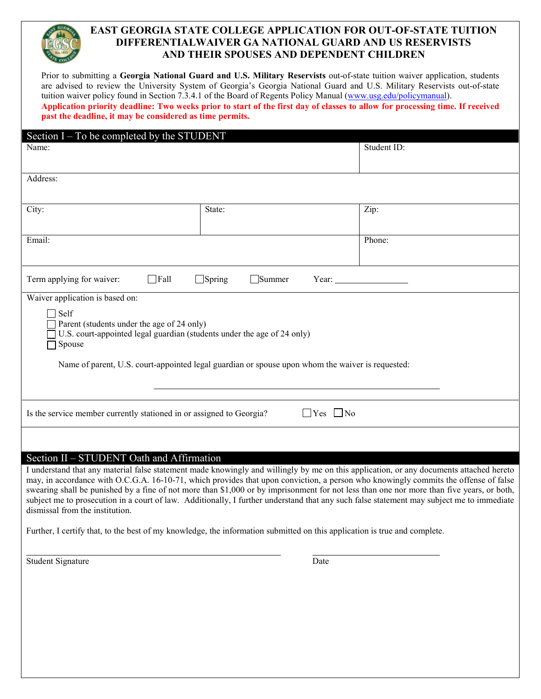# **EAST GEORGIA STATE COLLEGE APPLICATION FOR OUT-OF-STATE TUITION DIFFERENTIALWAIVER GA NATIONAL GUARD AND US RESERVISTS AND THEIR SPOUSES AND DEPENDENT CHILDREN**

Prior to submitting a **Georgia National Guard and U.S. Military Reservists** out-of-state tuition waiver application, students are advised to review the University System of Georgia's Georgia National Guard and U.S. Military Reservists out-of-state tuition waiver policy found in Section 7.3.4.1 of the Board of Regents Policy Manual [\(www.usg.edu/policymanual\)](http://www.usg.edu/policymanual). **Application priority deadline: Two weeks prior to start of the first day of classes to allow for processing time. If received past the deadline, it may be considered as time permits.** 

| Section I – To be completed by the STUDENT                                                                                                                                                                                                                                                                                                                                                                                                                                                                                                                                                                                                                                                                                                                                            |        |             |  |  |
|---------------------------------------------------------------------------------------------------------------------------------------------------------------------------------------------------------------------------------------------------------------------------------------------------------------------------------------------------------------------------------------------------------------------------------------------------------------------------------------------------------------------------------------------------------------------------------------------------------------------------------------------------------------------------------------------------------------------------------------------------------------------------------------|--------|-------------|--|--|
| Name:                                                                                                                                                                                                                                                                                                                                                                                                                                                                                                                                                                                                                                                                                                                                                                                 |        | Student ID: |  |  |
| Address:                                                                                                                                                                                                                                                                                                                                                                                                                                                                                                                                                                                                                                                                                                                                                                              |        |             |  |  |
| City:                                                                                                                                                                                                                                                                                                                                                                                                                                                                                                                                                                                                                                                                                                                                                                                 | State: | Zip:        |  |  |
| Email:                                                                                                                                                                                                                                                                                                                                                                                                                                                                                                                                                                                                                                                                                                                                                                                |        | Phone:      |  |  |
| $\Box$ Fall<br>Term applying for waiver:<br>$\Box$ Spring<br>Summer<br>Year:                                                                                                                                                                                                                                                                                                                                                                                                                                                                                                                                                                                                                                                                                                          |        |             |  |  |
| Waiver application is based on:<br>$\exists$ Self<br>Parent (students under the age of 24 only)<br>U.S. court-appointed legal guardian (students under the age of 24 only)<br>Spouse<br>Name of parent, U.S. court-appointed legal guardian or spouse upon whom the waiver is requested:                                                                                                                                                                                                                                                                                                                                                                                                                                                                                              |        |             |  |  |
| $\Box$ Yes $\Box$ No<br>Is the service member currently stationed in or assigned to Georgia?                                                                                                                                                                                                                                                                                                                                                                                                                                                                                                                                                                                                                                                                                          |        |             |  |  |
|                                                                                                                                                                                                                                                                                                                                                                                                                                                                                                                                                                                                                                                                                                                                                                                       |        |             |  |  |
| Section II - STUDENT Oath and Affirmation<br>I understand that any material false statement made knowingly and willingly by me on this application, or any documents attached hereto<br>may, in accordance with O.C.G.A. 16-10-71, which provides that upon conviction, a person who knowingly commits the offense of false<br>swearing shall be punished by a fine of not more than \$1,000 or by imprisonment for not less than one nor more than five years, or both,<br>subject me to prosecution in a court of law. Additionally, I further understand that any such false statement may subject me to immediate<br>dismissal from the institution.<br>Further, I certify that, to the best of my knowledge, the information submitted on this application is true and complete. |        |             |  |  |
| <b>Student Signature</b>                                                                                                                                                                                                                                                                                                                                                                                                                                                                                                                                                                                                                                                                                                                                                              | Date   |             |  |  |